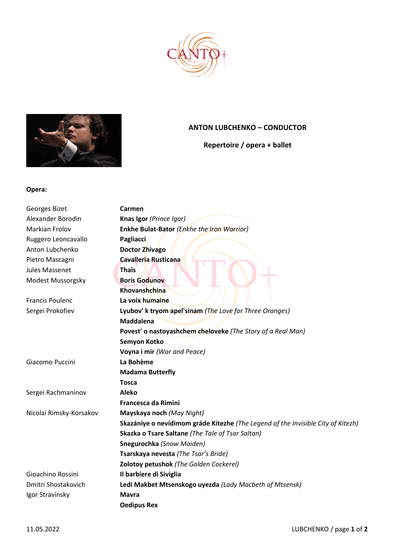



## **ANTON LUBCHENKO – CONDUCTOR**

**Repertoire / opera + ballet**

## **Opera:**

| Georges Bizet           | Carmen                                                                           |
|-------------------------|----------------------------------------------------------------------------------|
| Alexander Borodin       | Knas Igor (Prince Igor)                                                          |
| <b>Markian Frolov</b>   | Enkhe Bulat-Bator (Enkhe the Iron Warrior)                                       |
| Ruggero Leoncavallo     | Pagliacci                                                                        |
| Anton Lubchenko         | Doctor Zhivago                                                                   |
| Pietro Mascagni         | Cavalleria Rusticana                                                             |
| <b>Jules Massenet</b>   | <b>Thaïs</b>                                                                     |
| Modest Mussorgsky       | <b>Boris Godunov</b>                                                             |
|                         | Khovanshchina                                                                    |
| <b>Francis Poulenc</b>  | La voix humaine                                                                  |
| Sergei Prokofiev        | Lyubov' k tryom apel'sinam (The Love for Three Oranges)                          |
|                         | <b>Maddalena</b>                                                                 |
|                         | Povest' o nastoyashchem cheloveke (The Story of a Real Man)                      |
|                         | Semyon Kotko                                                                     |
|                         | Voyna i mir (War and Peace)                                                      |
| Giacomo Puccini         | La Bohème                                                                        |
|                         | <b>Madama Butterfly</b>                                                          |
|                         | <b>Tosca</b>                                                                     |
| Sergei Rachmaninov      | <b>Aleko</b>                                                                     |
|                         | <b>Francesca da Rimini</b>                                                       |
| Nicolai Rimsky-Korsakov | Mayskaya noch (May Night)                                                        |
|                         | Skazániye o nevídimom gráde Kítezhe (The Legend of the Invisible City of Kitezh) |
|                         | Skazka o Tsare Saltane (The Tale of Tsar Saltan)                                 |
|                         | Snegurochka (Snow Maiden)                                                        |
|                         | Tsarskaya nevesta (The Tsar's Bride)                                             |
|                         | Zolotoy petushok (The Golden Cockerel)                                           |
| Gioachino Rossini       | Il barbiere di Siviglia                                                          |
| Dmitri Shostakovich     | Ledi Makbet Mtsenskogo uyezda (Lady Macbeth of Mtsensk)                          |
| Igor Stravinsky         | <b>Mavra</b>                                                                     |
|                         | <b>Oedipus Rex</b>                                                               |